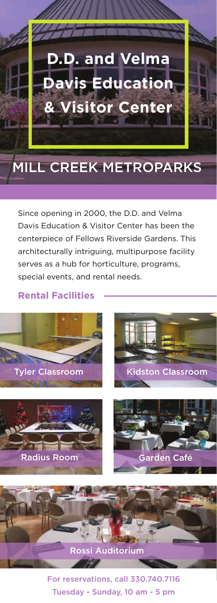

## MILL CREEK METROPARKS

Since opening in 2000, the D.D. and Velma Davis Education & Visitor Center has been the centerpiece of Fellows Riverside Gardens. This architecturally intriguing, multipurpose facility serves as a hub for horticulture, programs, special events, and rental needs.

## **Rental Facilities**



For reservations, call 330.740.7116 Tuesday - Sunday, 10 am - 5 pm